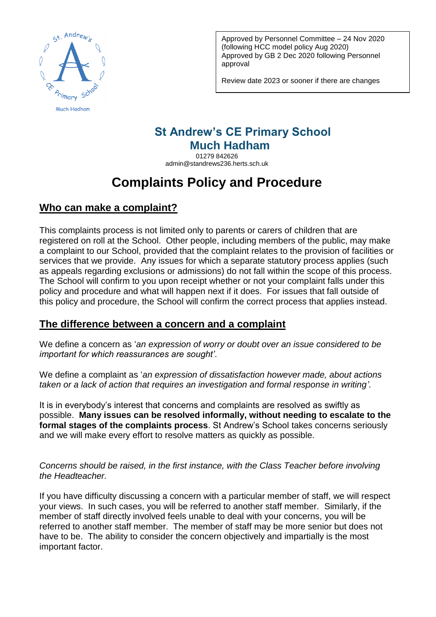

Approved by Personnel Committee – 24 Nov 2020 (following HCC model policy Aug 2020) Approved by GB 2 Dec 2020 following Personnel approval

Review date 2023 or sooner if there are changes

# **St Andrew's CE Primary School Much Hadham**

01279 842626 admin@standrews236.herts.sch.uk

# **Complaints Policy and Procedure**

## **Who can make a complaint?**

This complaints process is not limited only to parents or carers of children that are registered on roll at the School. Other people, including members of the public, may make a complaint to our School, provided that the complaint relates to the provision of facilities or services that we provide. Any issues for which a separate statutory process applies (such as appeals regarding exclusions or admissions) do not fall within the scope of this process. The School will confirm to you upon receipt whether or not your complaint falls under this policy and procedure and what will happen next if it does. For issues that fall outside of this policy and procedure, the School will confirm the correct process that applies instead.

## **The difference between a concern and a complaint**

We define a concern as '*an expression of worry or doubt over an issue considered to be important for which reassurances are sought'*.

We define a complaint as '*an expression of dissatisfaction however made, about actions taken or a lack of action that requires an investigation and formal response in writing'*.

It is in everybody's interest that concerns and complaints are resolved as swiftly as possible. **Many issues can be resolved informally, without needing to escalate to the formal stages of the complaints process**. St Andrew's School takes concerns seriously and we will make every effort to resolve matters as quickly as possible.

*Concerns should be raised, in the first instance, with the Class Teacher before involving the Headteacher.*

If you have difficulty discussing a concern with a particular member of staff, we will respect your views. In such cases, you will be referred to another staff member. Similarly, if the member of staff directly involved feels unable to deal with your concerns, you will be referred to another staff member. The member of staff may be more senior but does not have to be. The ability to consider the concern objectively and impartially is the most important factor.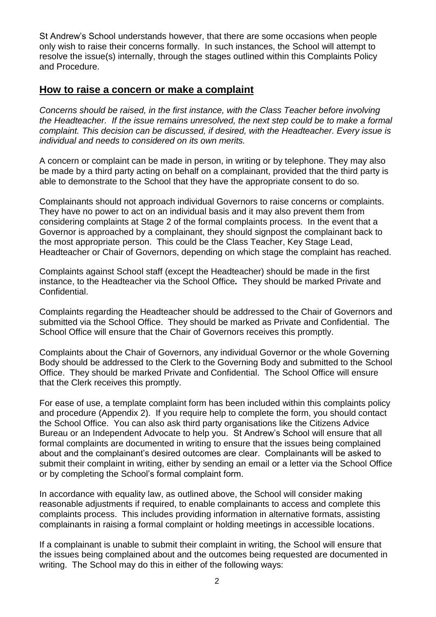St Andrew's School understands however, that there are some occasions when people only wish to raise their concerns formally. In such instances, the School will attempt to resolve the issue(s) internally, through the stages outlined within this Complaints Policy and Procedure.

#### **How to raise a concern or make a complaint**

*Concerns should be raised, in the first instance, with the Class Teacher before involving the Headteacher. If the issue remains unresolved, the next step could be to make a formal complaint. This decision can be discussed, if desired, with the Headteacher. Every issue is individual and needs to considered on its own merits.*

A concern or complaint can be made in person, in writing or by telephone. They may also be made by a third party acting on behalf on a complainant, provided that the third party is able to demonstrate to the School that they have the appropriate consent to do so.

Complainants should not approach individual Governors to raise concerns or complaints. They have no power to act on an individual basis and it may also prevent them from considering complaints at Stage 2 of the formal complaints process. In the event that a Governor is approached by a complainant, they should signpost the complainant back to the most appropriate person. This could be the Class Teacher, Key Stage Lead, Headteacher or Chair of Governors, depending on which stage the complaint has reached.

Complaints against School staff (except the Headteacher) should be made in the first instance, to the Headteacher via the School Office*.* They should be marked Private and Confidential.

Complaints regarding the Headteacher should be addressed to the Chair of Governors and submitted via the School Office. They should be marked as Private and Confidential. The School Office will ensure that the Chair of Governors receives this promptly.

Complaints about the Chair of Governors, any individual Governor or the whole Governing Body should be addressed to the Clerk to the Governing Body and submitted to the School Office. They should be marked Private and Confidential. The School Office will ensure that the Clerk receives this promptly.

For ease of use, a template complaint form has been included within this complaints policy and procedure (Appendix 2). If you require help to complete the form, you should contact the School Office. You can also ask third party organisations like the Citizens Advice Bureau or an Independent Advocate to help you. St Andrew's School will ensure that all formal complaints are documented in writing to ensure that the issues being complained about and the complainant's desired outcomes are clear. Complainants will be asked to submit their complaint in writing, either by sending an email or a letter via the School Office or by completing the School's formal complaint form.

In accordance with equality law, as outlined above, the School will consider making reasonable adjustments if required, to enable complainants to access and complete this complaints process. This includes providing information in alternative formats, assisting complainants in raising a formal complaint or holding meetings in accessible locations.

If a complainant is unable to submit their complaint in writing, the School will ensure that the issues being complained about and the outcomes being requested are documented in writing. The School may do this in either of the following ways: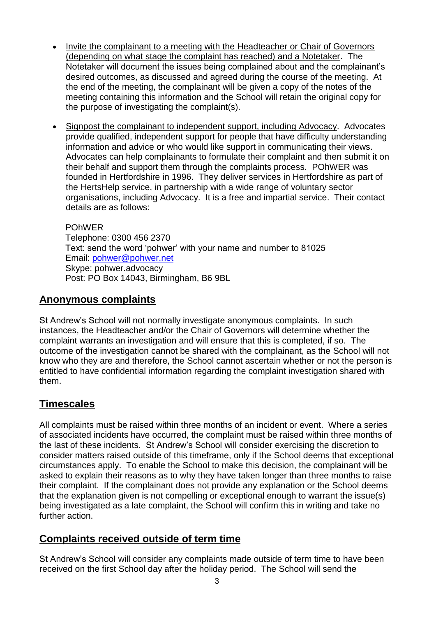- Invite the complainant to a meeting with the Headteacher or Chair of Governors (depending on what stage the complaint has reached) and a Notetaker. The Notetaker will document the issues being complained about and the complainant's desired outcomes, as discussed and agreed during the course of the meeting. At the end of the meeting, the complainant will be given a copy of the notes of the meeting containing this information and the School will retain the original copy for the purpose of investigating the complaint(s).
- Signpost the complainant to independent support, including Advocacy. Advocates provide qualified, independent support for people that have difficulty understanding information and advice or who would like support in communicating their views. Advocates can help complainants to formulate their complaint and then submit it on their behalf and support them through the complaints process. POhWER was founded in Hertfordshire in 1996. They deliver services in Hertfordshire as part of the HertsHelp service, in partnership with a wide range of voluntary sector organisations, including Advocacy. It is a free and impartial service. Their contact details are as follows:

POhWER Telephone: 0300 456 2370 Text: send the word 'pohwer' with your name and number to 81025 Email: [pohwer@pohwer.net](mailto:pohwer@pohwer.net) Skype: pohwer.advocacy Post: PO Box 14043, Birmingham, B6 9BL

## **Anonymous complaints**

St Andrew's School will not normally investigate anonymous complaints. In such instances, the Headteacher and/or the Chair of Governors will determine whether the complaint warrants an investigation and will ensure that this is completed, if so. The outcome of the investigation cannot be shared with the complainant, as the School will not know who they are and therefore, the School cannot ascertain whether or not the person is entitled to have confidential information regarding the complaint investigation shared with them.

#### **Timescales**

All complaints must be raised within three months of an incident or event. Where a series of associated incidents have occurred, the complaint must be raised within three months of the last of these incidents. St Andrew's School will consider exercising the discretion to consider matters raised outside of this timeframe, only if the School deems that exceptional circumstances apply. To enable the School to make this decision, the complainant will be asked to explain their reasons as to why they have taken longer than three months to raise their complaint. If the complainant does not provide any explanation or the School deems that the explanation given is not compelling or exceptional enough to warrant the issue(s) being investigated as a late complaint, the School will confirm this in writing and take no further action.

#### **Complaints received outside of term time**

St Andrew's School will consider any complaints made outside of term time to have been received on the first School day after the holiday period. The School will send the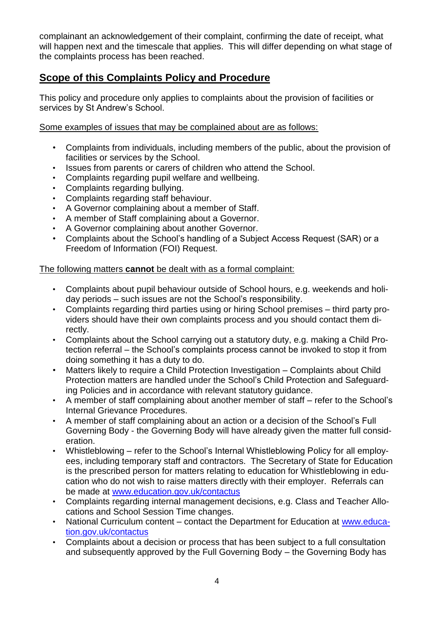complainant an acknowledgement of their complaint, confirming the date of receipt, what will happen next and the timescale that applies. This will differ depending on what stage of the complaints process has been reached.

## **Scope of this Complaints Policy and Procedure**

This policy and procedure only applies to complaints about the provision of facilities or services by St Andrew's School.

Some examples of issues that may be complained about are as follows:

- Complaints from individuals, including members of the public, about the provision of facilities or services by the School.
- Issues from parents or carers of children who attend the School.
- Complaints regarding pupil welfare and wellbeing.
- Complaints regarding bullying.
- Complaints regarding staff behaviour.
- A Governor complaining about a member of Staff.
- A member of Staff complaining about a Governor.
- A Governor complaining about another Governor.
- Complaints about the School's handling of a Subject Access Request (SAR) or a Freedom of Information (FOI) Request.

#### The following matters **cannot** be dealt with as a formal complaint:

- Complaints about pupil behaviour outside of School hours, e.g. weekends and holiday periods – such issues are not the School's responsibility.
- Complaints regarding third parties using or hiring School premises third party providers should have their own complaints process and you should contact them directly.
- Complaints about the School carrying out a statutory duty, e.g. making a Child Protection referral – the School's complaints process cannot be invoked to stop it from doing something it has a duty to do.
- Matters likely to require a Child Protection Investigation Complaints about Child Protection matters are handled under the School's Child Protection and Safeguarding Policies and in accordance with relevant statutory guidance.
- A member of staff complaining about another member of staff refer to the School's Internal Grievance Procedures.
- A member of staff complaining about an action or a decision of the School's Full Governing Body - the Governing Body will have already given the matter full consideration.
- Whistleblowing refer to the School's Internal Whistleblowing Policy for all employees, including temporary staff and contractors. The Secretary of State for Education is the prescribed person for matters relating to education for Whistleblowing in education who do not wish to raise matters directly with their employer. Referrals can be made at [www.education.gov.uk/contactus](http://www.education.gov.uk/contactus)
- Complaints regarding internal management decisions, e.g. Class and Teacher Allocations and School Session Time changes.
- National Curriculum content contact the Department for Education at [www.educa](http://www.education.gov.uk/contactus)[tion.gov.uk/contactus](http://www.education.gov.uk/contactus)
- Complaints about a decision or process that has been subject to a full consultation and subsequently approved by the Full Governing Body – the Governing Body has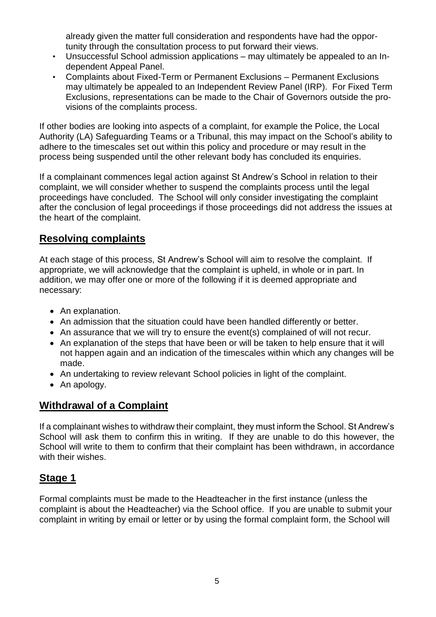already given the matter full consideration and respondents have had the opportunity through the consultation process to put forward their views.

- Unsuccessful School admission applications may ultimately be appealed to an Independent Appeal Panel.
- Complaints about Fixed-Term or Permanent Exclusions Permanent Exclusions may ultimately be appealed to an Independent Review Panel (IRP). For Fixed Term Exclusions, representations can be made to the Chair of Governors outside the provisions of the complaints process.

If other bodies are looking into aspects of a complaint, for example the Police, the Local Authority (LA) Safeguarding Teams or a Tribunal, this may impact on the School's ability to adhere to the timescales set out within this policy and procedure or may result in the process being suspended until the other relevant body has concluded its enquiries.

If a complainant commences legal action against St Andrew's School in relation to their complaint, we will consider whether to suspend the complaints process until the legal proceedings have concluded. The School will only consider investigating the complaint after the conclusion of legal proceedings if those proceedings did not address the issues at the heart of the complaint.

#### **Resolving complaints**

At each stage of this process, St Andrew's School will aim to resolve the complaint. If appropriate, we will acknowledge that the complaint is upheld, in whole or in part. In addition, we may offer one or more of the following if it is deemed appropriate and necessary:

- An explanation.
- An admission that the situation could have been handled differently or better.
- An assurance that we will try to ensure the event(s) complained of will not recur.
- An explanation of the steps that have been or will be taken to help ensure that it will not happen again and an indication of the timescales within which any changes will be made.
- An undertaking to review relevant School policies in light of the complaint.
- An apology.

#### **Withdrawal of a Complaint**

If a complainant wishes to withdraw their complaint, they must inform the School. St Andrew's School will ask them to confirm this in writing. If they are unable to do this however, the School will write to them to confirm that their complaint has been withdrawn, in accordance with their wishes.

#### **Stage 1**

Formal complaints must be made to the Headteacher in the first instance (unless the complaint is about the Headteacher) via the School office. If you are unable to submit your complaint in writing by email or letter or by using the formal complaint form, the School will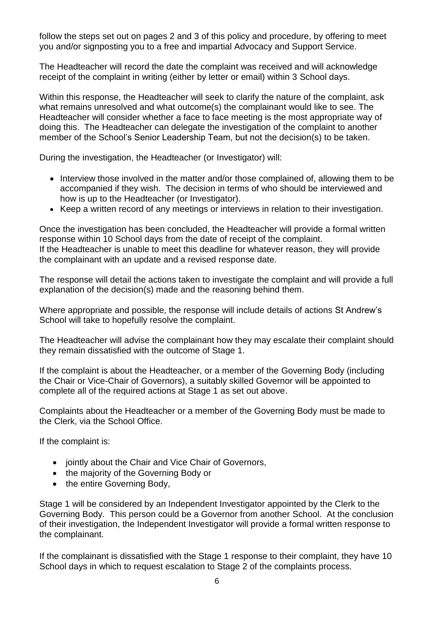follow the steps set out on pages 2 and 3 of this policy and procedure, by offering to meet you and/or signposting you to a free and impartial Advocacy and Support Service.

The Headteacher will record the date the complaint was received and will acknowledge receipt of the complaint in writing (either by letter or email) within 3 School days.

Within this response, the Headteacher will seek to clarify the nature of the complaint, ask what remains unresolved and what outcome(s) the complainant would like to see. The Headteacher will consider whether a face to face meeting is the most appropriate way of doing this. The Headteacher can delegate the investigation of the complaint to another member of the School's Senior Leadership Team, but not the decision(s) to be taken.

During the investigation, the Headteacher (or Investigator) will:

- Interview those involved in the matter and/or those complained of, allowing them to be accompanied if they wish. The decision in terms of who should be interviewed and how is up to the Headteacher (or Investigator).
- Keep a written record of any meetings or interviews in relation to their investigation.

Once the investigation has been concluded, the Headteacher will provide a formal written response within 10 School days from the date of receipt of the complaint. If the Headteacher is unable to meet this deadline for whatever reason, they will provide the complainant with an update and a revised response date.

The response will detail the actions taken to investigate the complaint and will provide a full explanation of the decision(s) made and the reasoning behind them.

Where appropriate and possible, the response will include details of actions St Andrew's School will take to hopefully resolve the complaint.

The Headteacher will advise the complainant how they may escalate their complaint should they remain dissatisfied with the outcome of Stage 1.

If the complaint is about the Headteacher, or a member of the Governing Body (including the Chair or Vice-Chair of Governors), a suitably skilled Governor will be appointed to complete all of the required actions at Stage 1 as set out above.

Complaints about the Headteacher or a member of the Governing Body must be made to the Clerk, via the School Office.

If the complaint is:

- jointly about the Chair and Vice Chair of Governors,
- the majority of the Governing Body or
- the entire Governing Body,

Stage 1 will be considered by an Independent Investigator appointed by the Clerk to the Governing Body. This person could be a Governor from another School. At the conclusion of their investigation, the Independent Investigator will provide a formal written response to the complainant.

If the complainant is dissatisfied with the Stage 1 response to their complaint, they have 10 School days in which to request escalation to Stage 2 of the complaints process.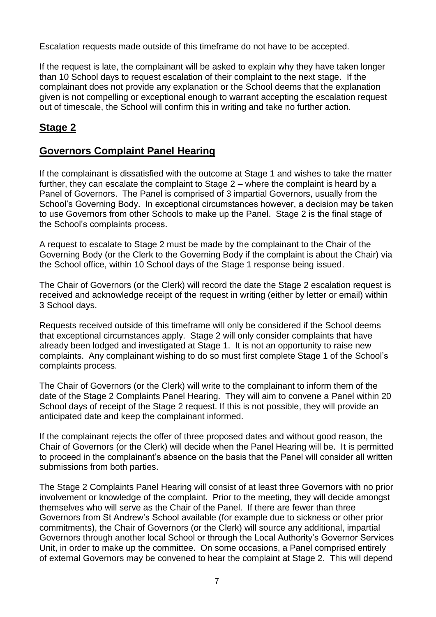Escalation requests made outside of this timeframe do not have to be accepted.

If the request is late, the complainant will be asked to explain why they have taken longer than 10 School days to request escalation of their complaint to the next stage. If the complainant does not provide any explanation or the School deems that the explanation given is not compelling or exceptional enough to warrant accepting the escalation request out of timescale, the School will confirm this in writing and take no further action.

## **Stage 2**

#### **Governors Complaint Panel Hearing**

If the complainant is dissatisfied with the outcome at Stage 1 and wishes to take the matter further, they can escalate the complaint to Stage 2 – where the complaint is heard by a Panel of Governors. The Panel is comprised of 3 impartial Governors, usually from the School's Governing Body. In exceptional circumstances however, a decision may be taken to use Governors from other Schools to make up the Panel. Stage 2 is the final stage of the School's complaints process.

A request to escalate to Stage 2 must be made by the complainant to the Chair of the Governing Body (or the Clerk to the Governing Body if the complaint is about the Chair) via the School office, within 10 School days of the Stage 1 response being issued.

The Chair of Governors (or the Clerk) will record the date the Stage 2 escalation request is received and acknowledge receipt of the request in writing (either by letter or email) within 3 School days.

Requests received outside of this timeframe will only be considered if the School deems that exceptional circumstances apply. Stage 2 will only consider complaints that have already been lodged and investigated at Stage 1. It is not an opportunity to raise new complaints. Any complainant wishing to do so must first complete Stage 1 of the School's complaints process.

The Chair of Governors (or the Clerk) will write to the complainant to inform them of the date of the Stage 2 Complaints Panel Hearing. They will aim to convene a Panel within 20 School days of receipt of the Stage 2 request. If this is not possible, they will provide an anticipated date and keep the complainant informed.

If the complainant rejects the offer of three proposed dates and without good reason, the Chair of Governors (or the Clerk) will decide when the Panel Hearing will be. It is permitted to proceed in the complainant's absence on the basis that the Panel will consider all written submissions from both parties.

The Stage 2 Complaints Panel Hearing will consist of at least three Governors with no prior involvement or knowledge of the complaint. Prior to the meeting, they will decide amongst themselves who will serve as the Chair of the Panel. If there are fewer than three Governors from St Andrew's School available (for example due to sickness or other prior commitments), the Chair of Governors (or the Clerk) will source any additional, impartial Governors through another local School or through the Local Authority's Governor Services Unit, in order to make up the committee. On some occasions, a Panel comprised entirely of external Governors may be convened to hear the complaint at Stage 2. This will depend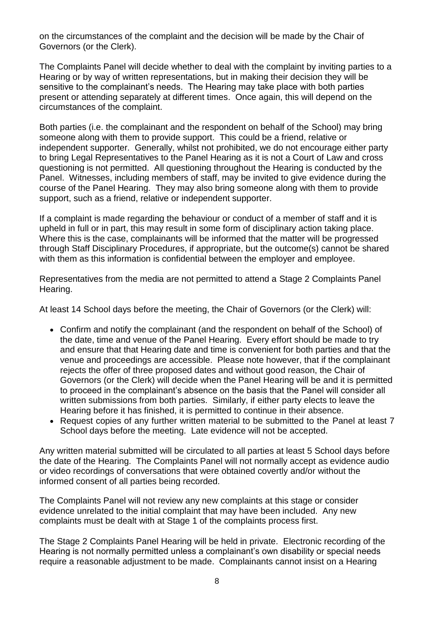on the circumstances of the complaint and the decision will be made by the Chair of Governors (or the Clerk).

The Complaints Panel will decide whether to deal with the complaint by inviting parties to a Hearing or by way of written representations, but in making their decision they will be sensitive to the complainant's needs. The Hearing may take place with both parties present or attending separately at different times. Once again, this will depend on the circumstances of the complaint.

Both parties (i.e. the complainant and the respondent on behalf of the School) may bring someone along with them to provide support. This could be a friend, relative or independent supporter. Generally, whilst not prohibited, we do not encourage either party to bring Legal Representatives to the Panel Hearing as it is not a Court of Law and cross questioning is not permitted. All questioning throughout the Hearing is conducted by the Panel. Witnesses, including members of staff, may be invited to give evidence during the course of the Panel Hearing. They may also bring someone along with them to provide support, such as a friend, relative or independent supporter.

If a complaint is made regarding the behaviour or conduct of a member of staff and it is upheld in full or in part, this may result in some form of disciplinary action taking place. Where this is the case, complainants will be informed that the matter will be progressed through Staff Disciplinary Procedures, if appropriate, but the outcome(s) cannot be shared with them as this information is confidential between the employer and employee.

Representatives from the media are not permitted to attend a Stage 2 Complaints Panel Hearing.

At least 14 School days before the meeting, the Chair of Governors (or the Clerk) will:

- Confirm and notify the complainant (and the respondent on behalf of the School) of the date, time and venue of the Panel Hearing. Every effort should be made to try and ensure that that Hearing date and time is convenient for both parties and that the venue and proceedings are accessible. Please note however, that if the complainant rejects the offer of three proposed dates and without good reason, the Chair of Governors (or the Clerk) will decide when the Panel Hearing will be and it is permitted to proceed in the complainant's absence on the basis that the Panel will consider all written submissions from both parties. Similarly, if either party elects to leave the Hearing before it has finished, it is permitted to continue in their absence.
- Request copies of any further written material to be submitted to the Panel at least 7 School days before the meeting. Late evidence will not be accepted.

Any written material submitted will be circulated to all parties at least 5 School days before the date of the Hearing. The Complaints Panel will not normally accept as evidence audio or video recordings of conversations that were obtained covertly and/or without the informed consent of all parties being recorded.

The Complaints Panel will not review any new complaints at this stage or consider evidence unrelated to the initial complaint that may have been included. Any new complaints must be dealt with at Stage 1 of the complaints process first.

The Stage 2 Complaints Panel Hearing will be held in private. Electronic recording of the Hearing is not normally permitted unless a complainant's own disability or special needs require a reasonable adjustment to be made. Complainants cannot insist on a Hearing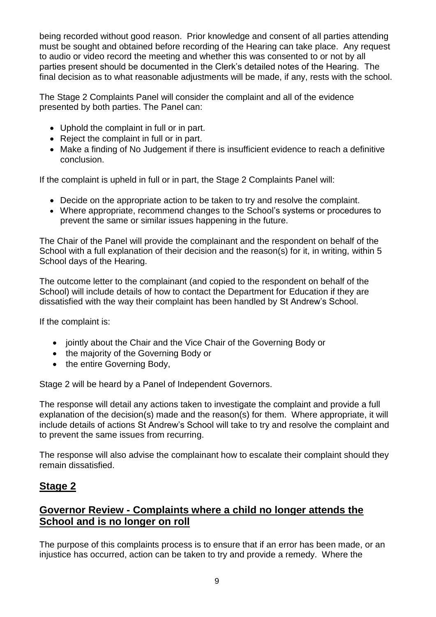being recorded without good reason. Prior knowledge and consent of all parties attending must be sought and obtained before recording of the Hearing can take place. Any request to audio or video record the meeting and whether this was consented to or not by all parties present should be documented in the Clerk's detailed notes of the Hearing. The final decision as to what reasonable adjustments will be made, if any, rests with the school.

The Stage 2 Complaints Panel will consider the complaint and all of the evidence presented by both parties. The Panel can:

- Uphold the complaint in full or in part.
- Reject the complaint in full or in part.
- Make a finding of No Judgement if there is insufficient evidence to reach a definitive conclusion.

If the complaint is upheld in full or in part, the Stage 2 Complaints Panel will:

- Decide on the appropriate action to be taken to try and resolve the complaint.
- Where appropriate, recommend changes to the School's systems or procedures to prevent the same or similar issues happening in the future.

The Chair of the Panel will provide the complainant and the respondent on behalf of the School with a full explanation of their decision and the reason(s) for it, in writing, within 5 School days of the Hearing.

The outcome letter to the complainant (and copied to the respondent on behalf of the School) will include details of how to contact the Department for Education if they are dissatisfied with the way their complaint has been handled by St Andrew's School.

If the complaint is:

- jointly about the Chair and the Vice Chair of the Governing Body or
- the majority of the Governing Body or
- the entire Governing Body,

Stage 2 will be heard by a Panel of Independent Governors.

The response will detail any actions taken to investigate the complaint and provide a full explanation of the decision(s) made and the reason(s) for them. Where appropriate, it will include details of actions St Andrew's School will take to try and resolve the complaint and to prevent the same issues from recurring.

The response will also advise the complainant how to escalate their complaint should they remain dissatisfied.

#### **Stage 2**

#### **Governor Review - Complaints where a child no longer attends the School and is no longer on roll**

The purpose of this complaints process is to ensure that if an error has been made, or an injustice has occurred, action can be taken to try and provide a remedy. Where the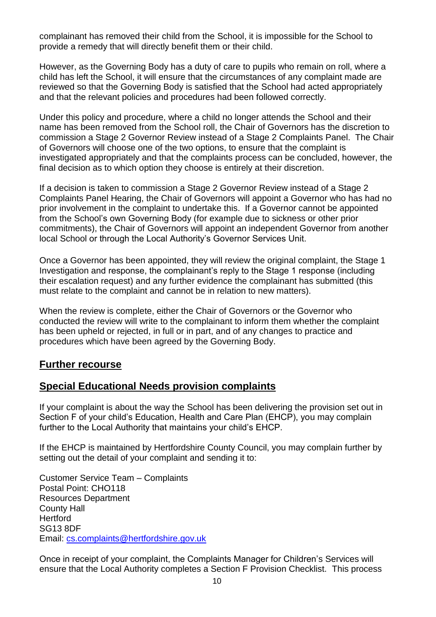complainant has removed their child from the School, it is impossible for the School to provide a remedy that will directly benefit them or their child.

However, as the Governing Body has a duty of care to pupils who remain on roll, where a child has left the School, it will ensure that the circumstances of any complaint made are reviewed so that the Governing Body is satisfied that the School had acted appropriately and that the relevant policies and procedures had been followed correctly.

Under this policy and procedure, where a child no longer attends the School and their name has been removed from the School roll, the Chair of Governors has the discretion to commission a Stage 2 Governor Review instead of a Stage 2 Complaints Panel. The Chair of Governors will choose one of the two options, to ensure that the complaint is investigated appropriately and that the complaints process can be concluded, however, the final decision as to which option they choose is entirely at their discretion.

If a decision is taken to commission a Stage 2 Governor Review instead of a Stage 2 Complaints Panel Hearing, the Chair of Governors will appoint a Governor who has had no prior involvement in the complaint to undertake this. If a Governor cannot be appointed from the School's own Governing Body (for example due to sickness or other prior commitments), the Chair of Governors will appoint an independent Governor from another local School or through the Local Authority's Governor Services Unit.

Once a Governor has been appointed, they will review the original complaint, the Stage 1 Investigation and response, the complainant's reply to the Stage 1 response (including their escalation request) and any further evidence the complainant has submitted (this must relate to the complaint and cannot be in relation to new matters).

When the review is complete, either the Chair of Governors or the Governor who conducted the review will write to the complainant to inform them whether the complaint has been upheld or rejected, in full or in part, and of any changes to practice and procedures which have been agreed by the Governing Body.

#### **Further recourse**

#### **Special Educational Needs provision complaints**

If your complaint is about the way the School has been delivering the provision set out in Section F of your child's Education, Health and Care Plan (EHCP), you may complain further to the Local Authority that maintains your child's EHCP.

If the EHCP is maintained by Hertfordshire County Council, you may complain further by setting out the detail of your complaint and sending it to:

Customer Service Team – Complaints Postal Point: CHO118 Resources Department County Hall **Hertford** SG13 8DF Email: [cs.complaints@hertfordshire.gov.uk](mailto:cs.complaints@hertfordshire.gov.uk)

Once in receipt of your complaint, the Complaints Manager for Children's Services will ensure that the Local Authority completes a Section F Provision Checklist. This process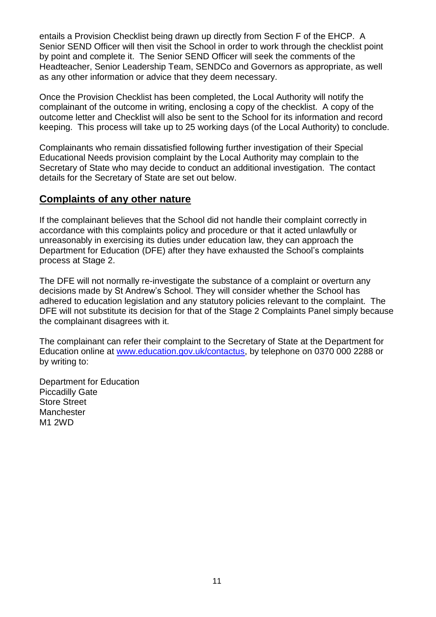entails a Provision Checklist being drawn up directly from Section F of the EHCP. A Senior SEND Officer will then visit the School in order to work through the checklist point by point and complete it. The Senior SEND Officer will seek the comments of the Headteacher, Senior Leadership Team, SENDCo and Governors as appropriate, as well as any other information or advice that they deem necessary.

Once the Provision Checklist has been completed, the Local Authority will notify the complainant of the outcome in writing, enclosing a copy of the checklist. A copy of the outcome letter and Checklist will also be sent to the School for its information and record keeping. This process will take up to 25 working days (of the Local Authority) to conclude.

Complainants who remain dissatisfied following further investigation of their Special Educational Needs provision complaint by the Local Authority may complain to the Secretary of State who may decide to conduct an additional investigation. The contact details for the Secretary of State are set out below.

#### **Complaints of any other nature**

If the complainant believes that the School did not handle their complaint correctly in accordance with this complaints policy and procedure or that it acted unlawfully or unreasonably in exercising its duties under education law, they can approach the Department for Education (DFE) after they have exhausted the School's complaints process at Stage 2.

The DFE will not normally re-investigate the substance of a complaint or overturn any decisions made by St Andrew's School. They will consider whether the School has adhered to education legislation and any statutory policies relevant to the complaint. The DFE will not substitute its decision for that of the Stage 2 Complaints Panel simply because the complainant disagrees with it.

The complainant can refer their complaint to the Secretary of State at the Department for Education online at [www.education.gov.uk/contactus,](http://www.education.gov.uk/contactus) by telephone on 0370 000 2288 or by writing to:

Department for Education Piccadilly Gate Store Street **Manchester** M1 2WD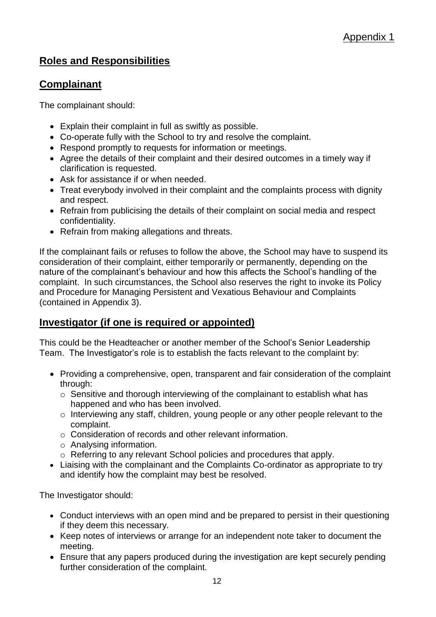## **Roles and Responsibilities**

#### **Complainant**

The complainant should:

- Explain their complaint in full as swiftly as possible.
- Co-operate fully with the School to try and resolve the complaint.
- Respond promptly to requests for information or meetings.
- Agree the details of their complaint and their desired outcomes in a timely way if clarification is requested.
- Ask for assistance if or when needed.
- Treat everybody involved in their complaint and the complaints process with dignity and respect.
- Refrain from publicising the details of their complaint on social media and respect confidentiality.
- Refrain from making allegations and threats.

If the complainant fails or refuses to follow the above, the School may have to suspend its consideration of their complaint, either temporarily or permanently, depending on the nature of the complainant's behaviour and how this affects the School's handling of the complaint. In such circumstances, the School also reserves the right to invoke its Policy and Procedure for Managing Persistent and Vexatious Behaviour and Complaints (contained in Appendix 3).

#### **Investigator (if one is required or appointed)**

This could be the Headteacher or another member of the School's Senior Leadership Team. The Investigator's role is to establish the facts relevant to the complaint by:

- Providing a comprehensive, open, transparent and fair consideration of the complaint through:
	- $\circ$  Sensitive and thorough interviewing of the complainant to establish what has happened and who has been involved.
	- o Interviewing any staff, children, young people or any other people relevant to the complaint.
	- o Consideration of records and other relevant information.
	- o Analysing information.
	- o Referring to any relevant School policies and procedures that apply.
- Liaising with the complainant and the Complaints Co-ordinator as appropriate to try and identify how the complaint may best be resolved.

The Investigator should:

- Conduct interviews with an open mind and be prepared to persist in their questioning if they deem this necessary.
- Keep notes of interviews or arrange for an independent note taker to document the meeting.
- Ensure that any papers produced during the investigation are kept securely pending further consideration of the complaint.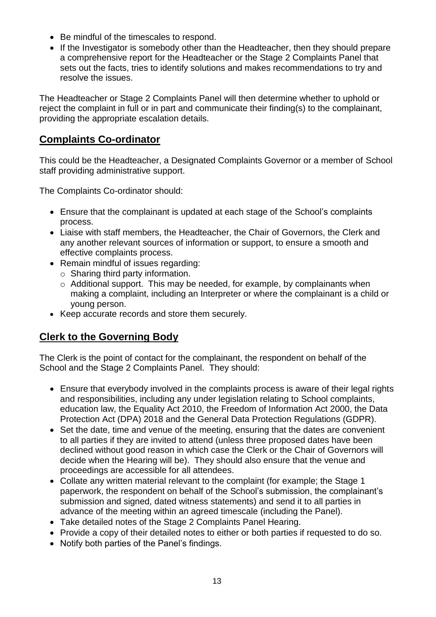- Be mindful of the timescales to respond.
- If the Investigator is somebody other than the Headteacher, then they should prepare a comprehensive report for the Headteacher or the Stage 2 Complaints Panel that sets out the facts, tries to identify solutions and makes recommendations to try and resolve the issues.

The Headteacher or Stage 2 Complaints Panel will then determine whether to uphold or reject the complaint in full or in part and communicate their finding(s) to the complainant, providing the appropriate escalation details.

## **Complaints Co-ordinator**

This could be the Headteacher, a Designated Complaints Governor or a member of School staff providing administrative support.

The Complaints Co-ordinator should:

- Ensure that the complainant is updated at each stage of the School's complaints process.
- Liaise with staff members, the Headteacher, the Chair of Governors, the Clerk and any another relevant sources of information or support, to ensure a smooth and effective complaints process.
- Remain mindful of issues regarding:
	- $\circ$  Sharing third party information.
	- o Additional support. This may be needed, for example, by complainants when making a complaint, including an Interpreter or where the complainant is a child or young person.
- Keep accurate records and store them securely.

## **Clerk to the Governing Body**

The Clerk is the point of contact for the complainant, the respondent on behalf of the School and the Stage 2 Complaints Panel. They should:

- Ensure that everybody involved in the complaints process is aware of their legal rights and responsibilities, including any under legislation relating to School complaints, education law, the Equality Act 2010, the Freedom of Information Act 2000, the Data Protection Act (DPA) 2018 and the General Data Protection Regulations (GDPR).
- Set the date, time and venue of the meeting, ensuring that the dates are convenient to all parties if they are invited to attend (unless three proposed dates have been declined without good reason in which case the Clerk or the Chair of Governors will decide when the Hearing will be). They should also ensure that the venue and proceedings are accessible for all attendees.
- Collate any written material relevant to the complaint (for example; the Stage 1 paperwork, the respondent on behalf of the School's submission, the complainant's submission and signed, dated witness statements) and send it to all parties in advance of the meeting within an agreed timescale (including the Panel).
- Take detailed notes of the Stage 2 Complaints Panel Hearing.
- Provide a copy of their detailed notes to either or both parties if requested to do so.
- Notify both parties of the Panel's findings.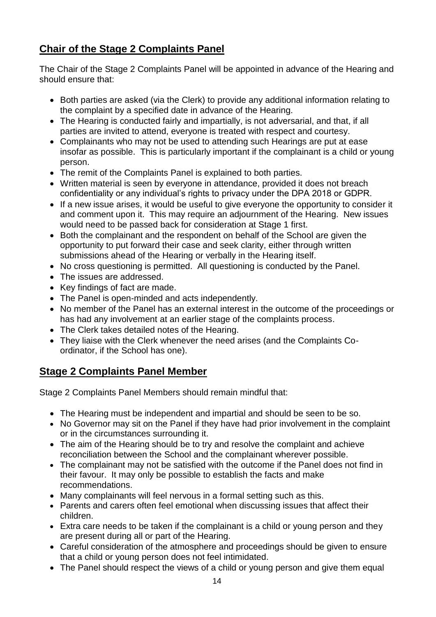## **Chair of the Stage 2 Complaints Panel**

The Chair of the Stage 2 Complaints Panel will be appointed in advance of the Hearing and should ensure that:

- Both parties are asked (via the Clerk) to provide any additional information relating to the complaint by a specified date in advance of the Hearing.
- The Hearing is conducted fairly and impartially, is not adversarial, and that, if all parties are invited to attend, everyone is treated with respect and courtesy.
- Complainants who may not be used to attending such Hearings are put at ease insofar as possible. This is particularly important if the complainant is a child or young person.
- The remit of the Complaints Panel is explained to both parties.
- Written material is seen by everyone in attendance, provided it does not breach confidentiality or any individual's rights to privacy under the DPA 2018 or GDPR.
- If a new issue arises, it would be useful to give everyone the opportunity to consider it and comment upon it. This may require an adjournment of the Hearing. New issues would need to be passed back for consideration at Stage 1 first.
- Both the complainant and the respondent on behalf of the School are given the opportunity to put forward their case and seek clarity, either through written submissions ahead of the Hearing or verbally in the Hearing itself.
- No cross questioning is permitted. All questioning is conducted by the Panel.
- The issues are addressed.
- Key findings of fact are made.
- The Panel is open-minded and acts independently.
- No member of the Panel has an external interest in the outcome of the proceedings or has had any involvement at an earlier stage of the complaints process.
- The Clerk takes detailed notes of the Hearing.
- They liaise with the Clerk whenever the need arises (and the Complaints Coordinator, if the School has one).

## **Stage 2 Complaints Panel Member**

Stage 2 Complaints Panel Members should remain mindful that:

- The Hearing must be independent and impartial and should be seen to be so.
- No Governor may sit on the Panel if they have had prior involvement in the complaint or in the circumstances surrounding it.
- The aim of the Hearing should be to try and resolve the complaint and achieve reconciliation between the School and the complainant wherever possible.
- The complainant may not be satisfied with the outcome if the Panel does not find in their favour. It may only be possible to establish the facts and make recommendations.
- Many complainants will feel nervous in a formal setting such as this.
- Parents and carers often feel emotional when discussing issues that affect their children.
- Extra care needs to be taken if the complainant is a child or young person and they are present during all or part of the Hearing.
- Careful consideration of the atmosphere and proceedings should be given to ensure that a child or young person does not feel intimidated.
- The Panel should respect the views of a child or young person and give them equal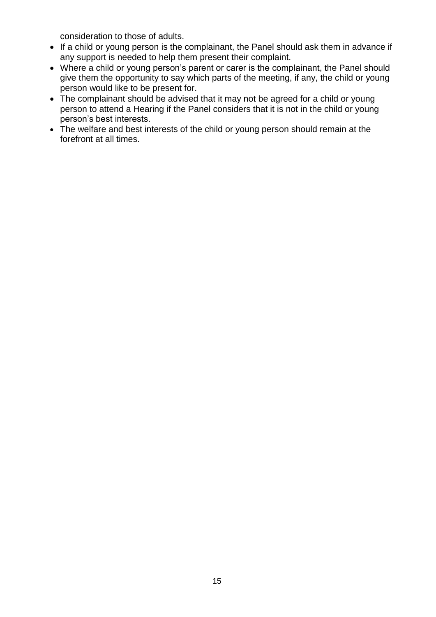consideration to those of adults.

- If a child or young person is the complainant, the Panel should ask them in advance if any support is needed to help them present their complaint.
- Where a child or young person's parent or carer is the complainant, the Panel should give them the opportunity to say which parts of the meeting, if any, the child or young person would like to be present for.
- The complainant should be advised that it may not be agreed for a child or young person to attend a Hearing if the Panel considers that it is not in the child or young person's best interests.
- The welfare and best interests of the child or young person should remain at the forefront at all times.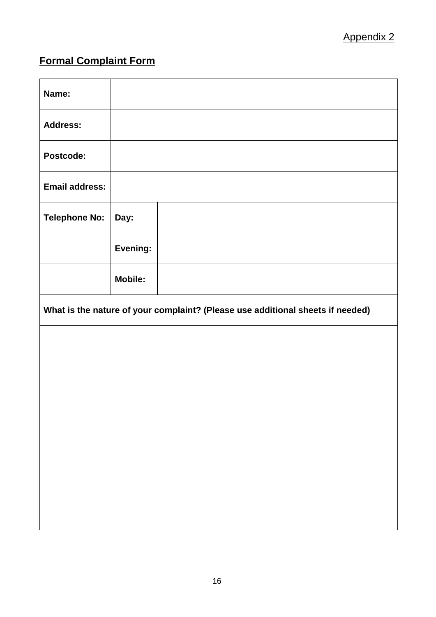## **Formal Complaint Form**

| Name:                                                                          |                |  |  |  |
|--------------------------------------------------------------------------------|----------------|--|--|--|
| <b>Address:</b>                                                                |                |  |  |  |
| Postcode:                                                                      |                |  |  |  |
| <b>Email address:</b>                                                          |                |  |  |  |
| <b>Telephone No:</b>                                                           | Day:           |  |  |  |
|                                                                                | Evening:       |  |  |  |
|                                                                                | <b>Mobile:</b> |  |  |  |
| What is the nature of your complaint? (Please use additional sheets if needed) |                |  |  |  |
|                                                                                |                |  |  |  |
|                                                                                |                |  |  |  |
|                                                                                |                |  |  |  |
|                                                                                |                |  |  |  |
|                                                                                |                |  |  |  |
|                                                                                |                |  |  |  |
|                                                                                |                |  |  |  |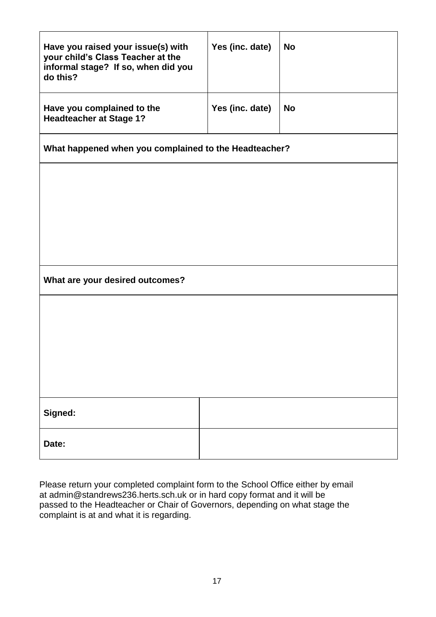| Have you raised your issue(s) with<br>your child's Class Teacher at the<br>informal stage? If so, when did you<br>do this? | Yes (inc. date) | <b>No</b> |  |  |  |
|----------------------------------------------------------------------------------------------------------------------------|-----------------|-----------|--|--|--|
| Have you complained to the<br><b>Headteacher at Stage 1?</b>                                                               | Yes (inc. date) | <b>No</b> |  |  |  |
| What happened when you complained to the Headteacher?                                                                      |                 |           |  |  |  |
|                                                                                                                            |                 |           |  |  |  |
|                                                                                                                            |                 |           |  |  |  |
|                                                                                                                            |                 |           |  |  |  |
| What are your desired outcomes?                                                                                            |                 |           |  |  |  |
|                                                                                                                            |                 |           |  |  |  |
|                                                                                                                            |                 |           |  |  |  |
|                                                                                                                            |                 |           |  |  |  |
|                                                                                                                            |                 |           |  |  |  |
| Signed:                                                                                                                    |                 |           |  |  |  |
| Date:                                                                                                                      |                 |           |  |  |  |

Please return your completed complaint form to the School Office either by email at admin@standrews236.herts.sch.uk or in hard copy format and it will be passed to the Headteacher or Chair of Governors, depending on what stage the complaint is at and what it is regarding.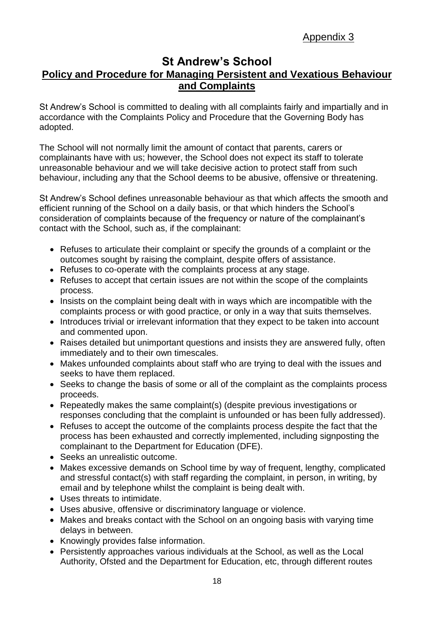## Appendix 3

### **St Andrew's School Policy and Procedure for Managing Persistent and Vexatious Behaviour and Complaints**

St Andrew's School is committed to dealing with all complaints fairly and impartially and in accordance with the Complaints Policy and Procedure that the Governing Body has adopted.

The School will not normally limit the amount of contact that parents, carers or complainants have with us; however, the School does not expect its staff to tolerate unreasonable behaviour and we will take decisive action to protect staff from such behaviour, including any that the School deems to be abusive, offensive or threatening.

St Andrew's School defines unreasonable behaviour as that which affects the smooth and efficient running of the School on a daily basis, or that which hinders the School's consideration of complaints because of the frequency or nature of the complainant's contact with the School, such as, if the complainant:

- Refuses to articulate their complaint or specify the grounds of a complaint or the outcomes sought by raising the complaint, despite offers of assistance.
- Refuses to co-operate with the complaints process at any stage.
- Refuses to accept that certain issues are not within the scope of the complaints process.
- Insists on the complaint being dealt with in ways which are incompatible with the complaints process or with good practice, or only in a way that suits themselves.
- Introduces trivial or irrelevant information that they expect to be taken into account and commented upon.
- Raises detailed but unimportant questions and insists they are answered fully, often immediately and to their own timescales.
- Makes unfounded complaints about staff who are trying to deal with the issues and seeks to have them replaced.
- Seeks to change the basis of some or all of the complaint as the complaints process proceeds.
- Repeatedly makes the same complaint(s) (despite previous investigations or responses concluding that the complaint is unfounded or has been fully addressed).
- Refuses to accept the outcome of the complaints process despite the fact that the process has been exhausted and correctly implemented, including signposting the complainant to the Department for Education (DFE).
- Seeks an unrealistic outcome.
- Makes excessive demands on School time by way of frequent, lengthy, complicated and stressful contact(s) with staff regarding the complaint, in person, in writing, by email and by telephone whilst the complaint is being dealt with.
- Uses threats to intimidate.
- Uses abusive, offensive or discriminatory language or violence.
- Makes and breaks contact with the School on an ongoing basis with varying time delays in between.
- Knowingly provides false information.
- Persistently approaches various individuals at the School, as well as the Local Authority, Ofsted and the Department for Education, etc, through different routes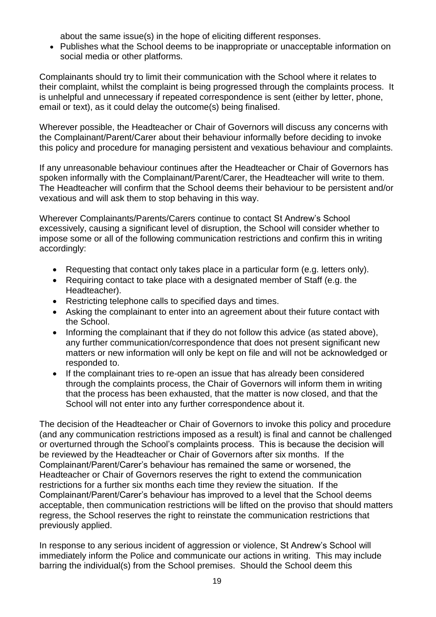about the same issue(s) in the hope of eliciting different responses.

 Publishes what the School deems to be inappropriate or unacceptable information on social media or other platforms.

Complainants should try to limit their communication with the School where it relates to their complaint, whilst the complaint is being progressed through the complaints process. It is unhelpful and unnecessary if repeated correspondence is sent (either by letter, phone, email or text), as it could delay the outcome(s) being finalised.

Wherever possible, the Headteacher or Chair of Governors will discuss any concerns with the Complainant/Parent/Carer about their behaviour informally before deciding to invoke this policy and procedure for managing persistent and vexatious behaviour and complaints.

If any unreasonable behaviour continues after the Headteacher or Chair of Governors has spoken informally with the Complainant/Parent/Carer, the Headteacher will write to them. The Headteacher will confirm that the School deems their behaviour to be persistent and/or vexatious and will ask them to stop behaving in this way.

Wherever Complainants/Parents/Carers continue to contact St Andrew's School excessively, causing a significant level of disruption, the School will consider whether to impose some or all of the following communication restrictions and confirm this in writing accordingly:

- Requesting that contact only takes place in a particular form (e.g. letters only).
- Requiring contact to take place with a designated member of Staff (e.g. the Headteacher).
- Restricting telephone calls to specified days and times.
- Asking the complainant to enter into an agreement about their future contact with the School.
- Informing the complainant that if they do not follow this advice (as stated above), any further communication/correspondence that does not present significant new matters or new information will only be kept on file and will not be acknowledged or responded to.
- If the complainant tries to re-open an issue that has already been considered through the complaints process, the Chair of Governors will inform them in writing that the process has been exhausted, that the matter is now closed, and that the School will not enter into any further correspondence about it.

The decision of the Headteacher or Chair of Governors to invoke this policy and procedure (and any communication restrictions imposed as a result) is final and cannot be challenged or overturned through the School's complaints process. This is because the decision will be reviewed by the Headteacher or Chair of Governors after six months. If the Complainant/Parent/Carer's behaviour has remained the same or worsened, the Headteacher or Chair of Governors reserves the right to extend the communication restrictions for a further six months each time they review the situation. If the Complainant/Parent/Carer's behaviour has improved to a level that the School deems acceptable, then communication restrictions will be lifted on the proviso that should matters regress, the School reserves the right to reinstate the communication restrictions that previously applied.

In response to any serious incident of aggression or violence, St Andrew's School will immediately inform the Police and communicate our actions in writing. This may include barring the individual(s) from the School premises. Should the School deem this